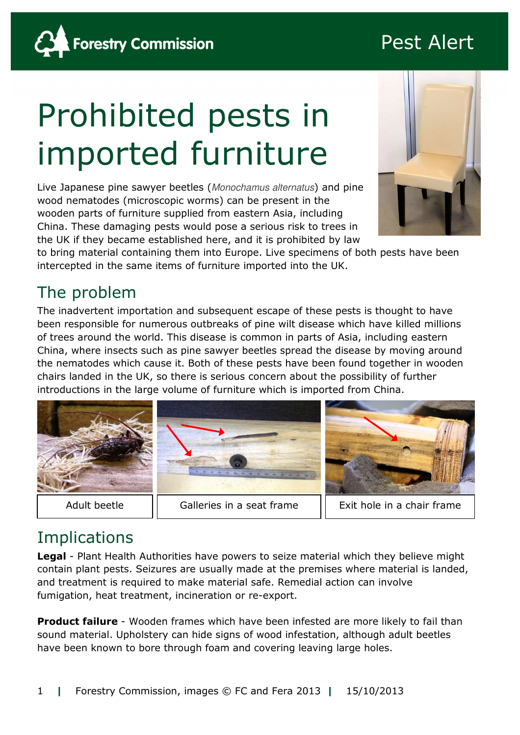# Pest Alert



# Prohibited pests in imported furniture

Live Japanese pine sawyer beetles (Monochamus alternatus) and pine wood nematodes (microscopic worms) can be present in the wooden parts of furniture supplied from eastern Asia, including China. These damaging pests would pose a serious risk to trees in the UK if they became established here, and it is prohibited by law



to bring material containing them into Europe. Live specimens of both pests have been intercepted in the same items of furniture imported into the UK.

## The problem

The inadvertent importation and subsequent escape of these pests is thought to have been responsible for numerous outbreaks of pine wilt disease which have killed millions of trees around the world. This disease is common in parts of Asia, including eastern China, where insects such as pine sawyer beetles spread the disease by moving around the nematodes which cause it. Both of these pests have been found together in wooden chairs landed in the UK, so there is serious concern about the possibility of further introductions in the large volume of furniture which is imported from China.



# **Implications**

Legal - Plant Health Authorities have powers to seize material which they believe might contain plant pests. Seizures are usually made at the premises where material is landed, and treatment is required to make material safe. Remedial action can involve fumigation, heat treatment, incineration or re-export.

**Product failure** - Wooden frames which have been infested are more likely to fail than sound material. Upholstery can hide signs of wood infestation, although adult beetles have been known to bore through foam and covering leaving large holes.